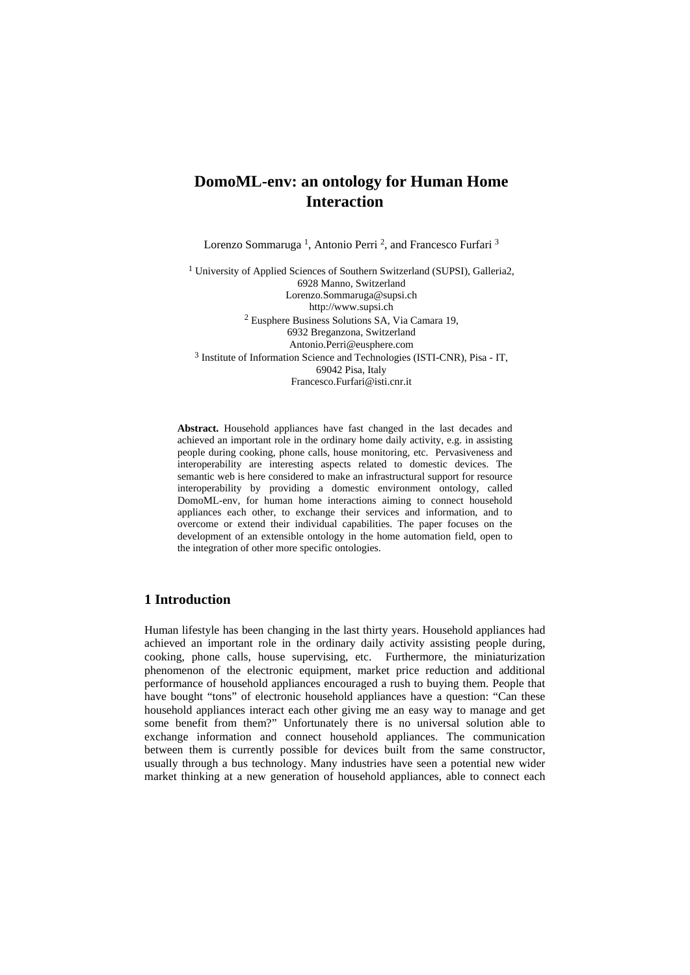# **DomoML-env: an ontology for Human Home Interaction**

Lorenzo Sommaruga 1, Antonio Perri 2, and Francesco Furfari 3

1 University of Applied Sciences of Southern Switzerland (SUPSI), Galleria2, 6928 Manno, Switzerland Lorenzo.Sommaruga@supsi.ch http://www.supsi.ch 2 Eusphere Business Solutions SA, Via Camara 19, 6932 Breganzona, Switzerland Antonio.Perri@eusphere.com 3 Institute of Information Science and Technologies (ISTI-CNR), Pisa - IT, 69042 Pisa, Italy Francesco.Furfari@isti.cnr.it

**Abstract.** Household appliances have fast changed in the last decades and achieved an important role in the ordinary home daily activity, e.g. in assisting people during cooking, phone calls, house monitoring, etc. Pervasiveness and interoperability are interesting aspects related to domestic devices. The semantic web is here considered to make an infrastructural support for resource interoperability by providing a domestic environment ontology, called DomoML-env, for human home interactions aiming to connect household appliances each other, to exchange their services and information, and to overcome or extend their individual capabilities. The paper focuses on the development of an extensible ontology in the home automation field, open to the integration of other more specific ontologies.

# **1 Introduction**

Human lifestyle has been changing in the last thirty years. Household appliances had achieved an important role in the ordinary daily activity assisting people during, cooking, phone calls, house supervising, etc. Furthermore, the miniaturization phenomenon of the electronic equipment, market price reduction and additional performance of household appliances encouraged a rush to buying them. People that have bought "tons" of electronic household appliances have a question: "Can these household appliances interact each other giving me an easy way to manage and get some benefit from them?" Unfortunately there is no universal solution able to exchange information and connect household appliances. The communication between them is currently possible for devices built from the same constructor, usually through a bus technology. Many industries have seen a potential new wider market thinking at a new generation of household appliances, able to connect each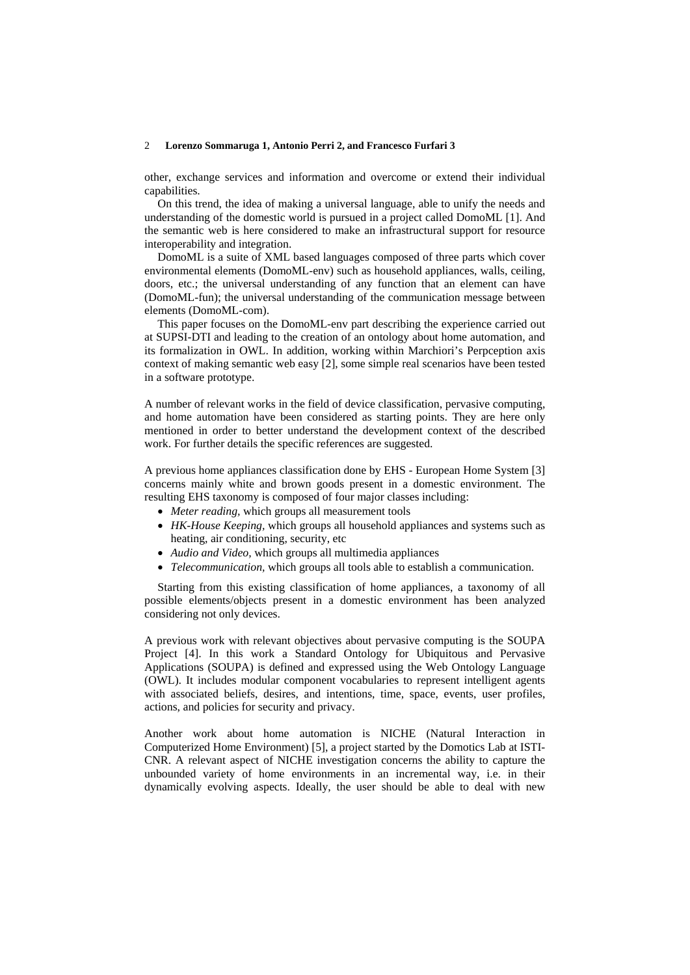#### 2 **Lorenzo Sommaruga 1, Antonio Perri 2, and Francesco Furfari 3**

other, exchange services and information and overcome or extend their individual capabilities.

On this trend, the idea of making a universal language, able to unify the needs and understanding of the domestic world is pursued in a project called DomoML [1]. And the semantic web is here considered to make an infrastructural support for resource interoperability and integration.

DomoML is a suite of XML based languages composed of three parts which cover environmental elements (DomoML-env) such as household appliances, walls, ceiling, doors, etc.; the universal understanding of any function that an element can have (DomoML-fun); the universal understanding of the communication message between elements (DomoML-com).

This paper focuses on the DomoML-env part describing the experience carried out at SUPSI-DTI and leading to the creation of an ontology about home automation, and its formalization in OWL. In addition, working within Marchiori's Perpception axis context of making semantic web easy [2], some simple real scenarios have been tested in a software prototype.

A number of relevant works in the field of device classification, pervasive computing, and home automation have been considered as starting points. They are here only mentioned in order to better understand the development context of the described work. For further details the specific references are suggested.

A previous home appliances classification done by EHS - European Home System [3] concerns mainly white and brown goods present in a domestic environment. The resulting EHS taxonomy is composed of four major classes including:

- *Meter reading,* which groups all measurement tools
- *HK-House Keeping,* which groups all household appliances and systems such as heating, air conditioning, security, etc
- *Audio and Video,* which groups all multimedia appliances
- *Telecommunication,* which groups all tools able to establish a communication.

Starting from this existing classification of home appliances, a taxonomy of all possible elements/objects present in a domestic environment has been analyzed considering not only devices.

A previous work with relevant objectives about pervasive computing is the SOUPA Project [4]. In this work a Standard Ontology for Ubiquitous and Pervasive Applications (SOUPA) is defined and expressed using the Web Ontology Language (OWL). It includes modular component vocabularies to represent intelligent agents with associated beliefs, desires, and intentions, time, space, events, user profiles, actions, and policies for security and privacy.

Another work about home automation is NICHE (Natural Interaction in Computerized Home Environment) [5], a project started by the Domotics Lab at ISTI-CNR. A relevant aspect of NICHE investigation concerns the ability to capture the unbounded variety of home environments in an incremental way, i.e. in their dynamically evolving aspects. Ideally, the user should be able to deal with new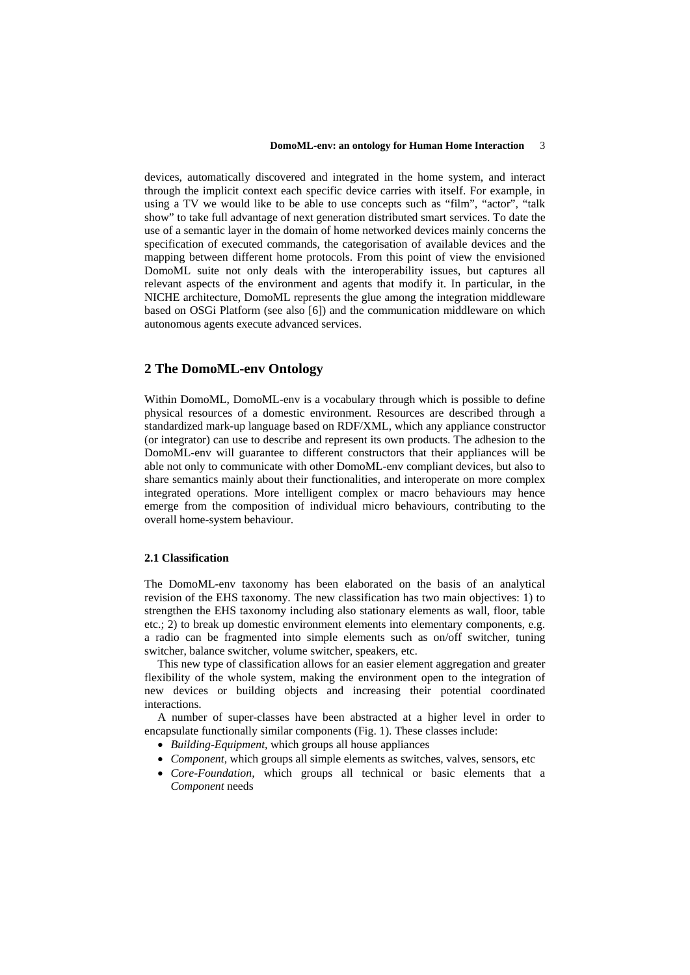devices, automatically discovered and integrated in the home system, and interact through the implicit context each specific device carries with itself. For example, in using a TV we would like to be able to use concepts such as "film", "actor", "talk show" to take full advantage of next generation distributed smart services. To date the use of a semantic layer in the domain of home networked devices mainly concerns the specification of executed commands, the categorisation of available devices and the mapping between different home protocols. From this point of view the envisioned DomoML suite not only deals with the interoperability issues, but captures all relevant aspects of the environment and agents that modify it. In particular, in the NICHE architecture, DomoML represents the glue among the integration middleware based on OSGi Platform (see also [6]) and the communication middleware on which autonomous agents execute advanced services.

# **2 The DomoML-env Ontology**

Within DomoML, DomoML-env is a vocabulary through which is possible to define physical resources of a domestic environment. Resources are described through a standardized mark-up language based on RDF/XML, which any appliance constructor (or integrator) can use to describe and represent its own products. The adhesion to the DomoML-env will guarantee to different constructors that their appliances will be able not only to communicate with other DomoML-env compliant devices, but also to share semantics mainly about their functionalities, and interoperate on more complex integrated operations. More intelligent complex or macro behaviours may hence emerge from the composition of individual micro behaviours, contributing to the overall home-system behaviour.

#### **2.1 Classification**

The DomoML-env taxonomy has been elaborated on the basis of an analytical revision of the EHS taxonomy. The new classification has two main objectives: 1) to strengthen the EHS taxonomy including also stationary elements as wall, floor, table etc.; 2) to break up domestic environment elements into elementary components, e.g. a radio can be fragmented into simple elements such as on/off switcher, tuning switcher, balance switcher, volume switcher, speakers, etc.

This new type of classification allows for an easier element aggregation and greater flexibility of the whole system, making the environment open to the integration of new devices or building objects and increasing their potential coordinated interactions.

A number of super-classes have been abstracted at a higher level in order to encapsulate functionally similar components (Fig. 1). These classes include:

- *Building-Equipment,* which groups all house appliances
- *Component,* which groups all simple elements as switches, valves, sensors, etc
- *Core-Foundation,* which groups all technical or basic elements that a *Component* needs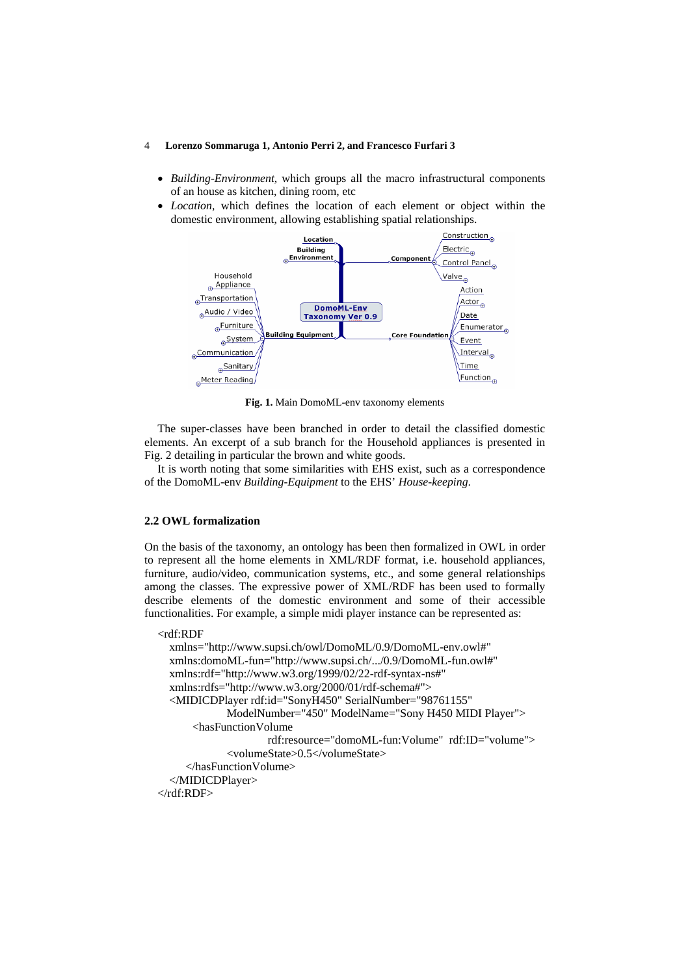#### 4 **Lorenzo Sommaruga 1, Antonio Perri 2, and Francesco Furfari 3**

- *Building-Environment,* which groups all the macro infrastructural components of an house as kitchen, dining room, etc
- *Location,* which defines the location of each element or object within the domestic environment, allowing establishing spatial relationships.



**Fig. 1.** Main DomoML-env taxonomy elements

The super-classes have been branched in order to detail the classified domestic elements. An excerpt of a sub branch for the Household appliances is presented in Fig. 2 detailing in particular the brown and white goods.

It is worth noting that some similarities with EHS exist, such as a correspondence of the DomoML-env *Building-Equipment* to the EHS' *House-keeping*.

### **2.2 OWL formalization**

On the basis of the taxonomy, an ontology has been then formalized in OWL in order to represent all the home elements in XML/RDF format, i.e. household appliances, furniture, audio/video, communication systems, etc., and some general relationships among the classes. The expressive power of XML/RDF has been used to formally describe elements of the domestic environment and some of their accessible functionalities. For example, a simple midi player instance can be represented as:

#### <rdf:RDF

```
 xmlns="http://www.supsi.ch/owl/DomoML/0.9/DomoML-env.owl#" 
   xmlns:domoML-fun="http://www.supsi.ch/.../0.9/DomoML-fun.owl#" 
   xmlns:rdf="http://www.w3.org/1999/02/22-rdf-syntax-ns#" 
   xmlns:rdfs="http://www.w3.org/2000/01/rdf-schema#"> 
   <MIDICDPlayer rdf:id="SonyH450" SerialNumber="98761155" 
             ModelNumber="450" ModelName="Sony H450 MIDI Player"> 
       <hasFunctionVolume 
                     rdf:resource="domoML-fun:Volume" rdf:ID="volume"> 
              <volumeState>0.5</volumeState> 
      </hasFunctionVolume> 
   </MIDICDPlayer> 
</rdf:RDF>
```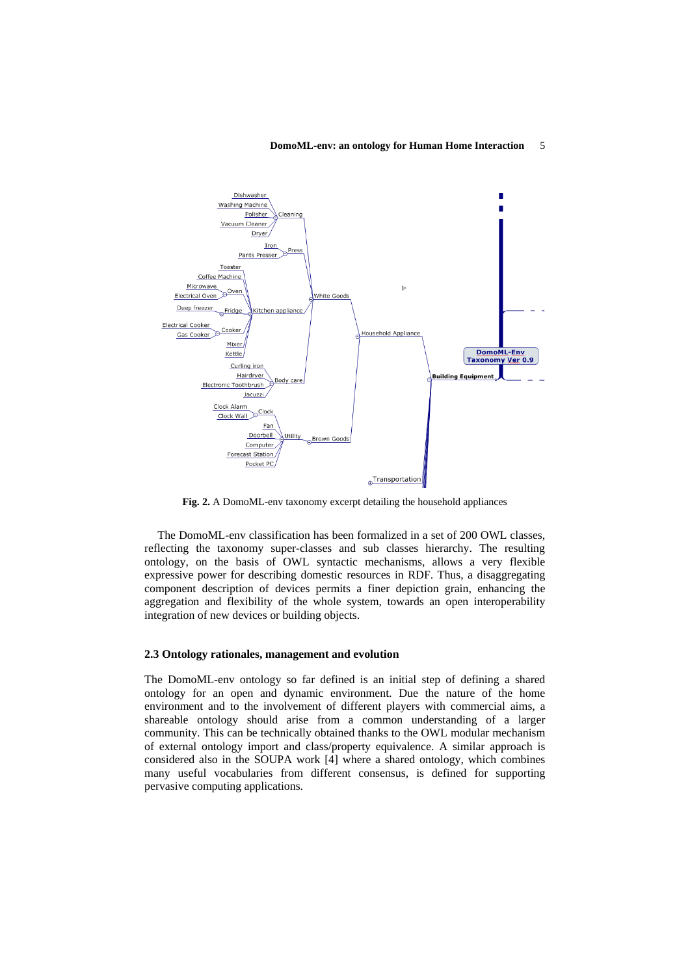#### **DomoML-env: an ontology for Human Home Interaction** 5



**Fig. 2.** A DomoML-env taxonomy excerpt detailing the household appliances

The DomoML-env classification has been formalized in a set of 200 OWL classes, reflecting the taxonomy super-classes and sub classes hierarchy. The resulting ontology, on the basis of OWL syntactic mechanisms, allows a very flexible expressive power for describing domestic resources in RDF. Thus, a disaggregating component description of devices permits a finer depiction grain, enhancing the aggregation and flexibility of the whole system, towards an open interoperability integration of new devices or building objects.

### **2.3 Ontology rationales, management and evolution**

The DomoML-env ontology so far defined is an initial step of defining a shared ontology for an open and dynamic environment. Due the nature of the home environment and to the involvement of different players with commercial aims, a shareable ontology should arise from a common understanding of a larger community. This can be technically obtained thanks to the OWL modular mechanism of external ontology import and class/property equivalence. A similar approach is considered also in the SOUPA work [4] where a shared ontology, which combines many useful vocabularies from different consensus, is defined for supporting pervasive computing applications.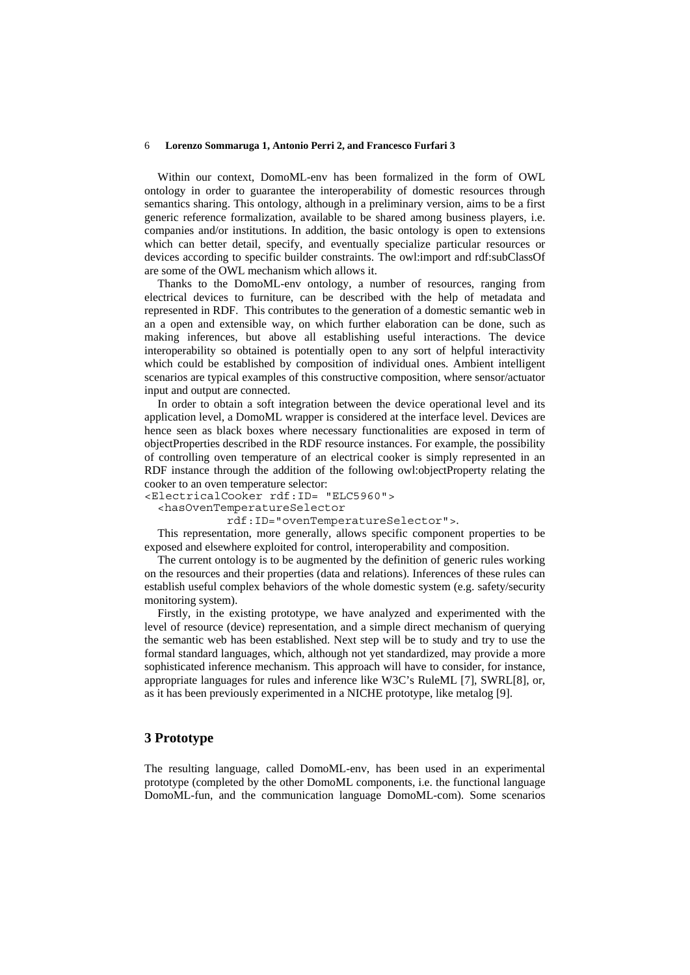#### 6 **Lorenzo Sommaruga 1, Antonio Perri 2, and Francesco Furfari 3**

Within our context, DomoML-env has been formalized in the form of OWL ontology in order to guarantee the interoperability of domestic resources through semantics sharing. This ontology, although in a preliminary version, aims to be a first generic reference formalization, available to be shared among business players, i.e. companies and/or institutions. In addition, the basic ontology is open to extensions which can better detail, specify, and eventually specialize particular resources or devices according to specific builder constraints. The owl:import and rdf:subClassOf are some of the OWL mechanism which allows it.

Thanks to the DomoML-env ontology, a number of resources, ranging from electrical devices to furniture, can be described with the help of metadata and represented in RDF. This contributes to the generation of a domestic semantic web in an a open and extensible way, on which further elaboration can be done, such as making inferences, but above all establishing useful interactions. The device interoperability so obtained is potentially open to any sort of helpful interactivity which could be established by composition of individual ones. Ambient intelligent scenarios are typical examples of this constructive composition, where sensor/actuator input and output are connected.

In order to obtain a soft integration between the device operational level and its application level, a DomoML wrapper is considered at the interface level. Devices are hence seen as black boxes where necessary functionalities are exposed in term of objectProperties described in the RDF resource instances. For example, the possibility of controlling oven temperature of an electrical cooker is simply represented in an RDF instance through the addition of the following owl:objectProperty relating the cooker to an oven temperature selector:

<ElectricalCooker rdf:ID= "ELC5960">

<hasOvenTemperatureSelector

rdf:ID="ovenTemperatureSelector">.

This representation, more generally, allows specific component properties to be exposed and elsewhere exploited for control, interoperability and composition.

The current ontology is to be augmented by the definition of generic rules working on the resources and their properties (data and relations). Inferences of these rules can establish useful complex behaviors of the whole domestic system (e.g. safety/security monitoring system).

Firstly, in the existing prototype, we have analyzed and experimented with the level of resource (device) representation, and a simple direct mechanism of querying the semantic web has been established. Next step will be to study and try to use the formal standard languages, which, although not yet standardized, may provide a more sophisticated inference mechanism. This approach will have to consider, for instance, appropriate languages for rules and inference like W3C's RuleML [7], SWRL[8], or, as it has been previously experimented in a NICHE prototype, like metalog [9].

## **3 Prototype**

The resulting language, called DomoML-env, has been used in an experimental prototype (completed by the other DomoML components, i.e. the functional language DomoML-fun, and the communication language DomoML-com). Some scenarios